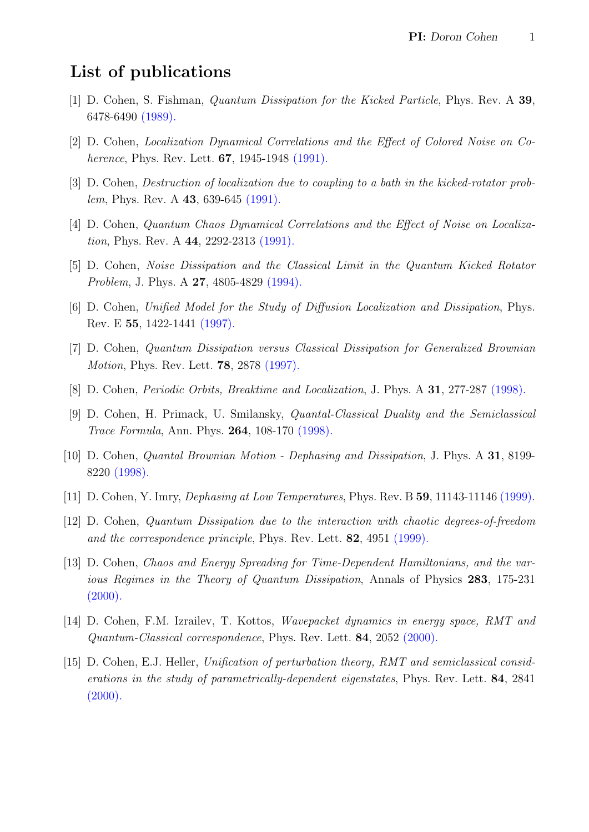## List of publications

- [1] D. Cohen, S. Fishman, Quantum Dissipation for the Kicked Particle, Phys. Rev. A 39, 6478-6490 [\(1989\).](http://dx.doi.org/10.1103/PhysRevA.39.6478)
- [2] D. Cohen, Localization Dynamical Correlations and the Effect of Colored Noise on Coherence, Phys. Rev. Lett. **67**, 1945-1948 [\(1991\).](http://dx.doi.org/10.1103/PhysRevLett.67.1945)
- [3] D. Cohen, Destruction of localization due to coupling to a bath in the kicked-rotator problem, Phys. Rev. A **43**, 639-645 [\(1991\).](http://dx.doi.org/10.1103/PhysRevA.43.639)
- [4] D. Cohen, Quantum Chaos Dynamical Correlations and the Effect of Noise on Localization, Phys. Rev. A 44, 2292-2313 [\(1991\).](http://dx.doi.org/10.1103/PhysRevA.44.2292)
- [5] D. Cohen, Noise Dissipation and the Classical Limit in the Quantum Kicked Rotator Problem, J. Phys. A 27, 4805-4829 [\(1994\).](http://dx.doi.org/10.1088/0305-4470/27/14/011)
- [6] D. Cohen, Unified Model for the Study of Diffusion Localization and Dissipation, Phys. Rev. E 55, 1422-1441 [\(1997\).](http://dx.doi.org/10.1103/PhysRevE.55.1422)
- [7] D. Cohen, Quantum Dissipation versus Classical Dissipation for Generalized Brownian Motion, Phys. Rev. Lett. 78, 2878 [\(1997\).](http://dx.doi.org/10.1103/PhysRevLett.78.2878)
- [8] D. Cohen, *Periodic Orbits, Breaktime and Localization*, J. Phys. A **31**, 277-287 [\(1998\).](http://dx.doi.org/10.1088/0305-4470/31/1/025)
- [9] D. Cohen, H. Primack, U. Smilansky, Quantal-Classical Duality and the Semiclassical Trace Formula, Ann. Phys. 264, 108-170 [\(1998\).](http://dx.doi.org/10.1006/aphy.1997.5776)
- [10] D. Cohen, Quantal Brownian Motion Dephasing and Dissipation, J. Phys. A 31, 8199- 8220 [\(1998\).](http://dx.doi.org/10.1088/0305-4470/31/40/013)
- [11] D. Cohen, Y. Imry, Dephasing at Low Temperatures, Phys. Rev. B 59, 11143-11146 [\(1999\).](http://dx.doi.org/10.1103/PhysRevB.59.11143)
- [12] D. Cohen, Quantum Dissipation due to the interaction with chaotic degrees-of-freedom and the correspondence principle, Phys. Rev. Lett. **82**, 4951 [\(1999\).](http://dx.doi.org/10.1103/PhysRevLett.82.4951)
- [13] D. Cohen, Chaos and Energy Spreading for Time-Dependent Hamiltonians, and the various Regimes in the Theory of Quantum Dissipation, Annals of Physics 283, 175-231  $(2000).$
- [14] D. Cohen, F.M. Izrailev, T. Kottos, Wavepacket dynamics in energy space, RMT and Quantum-Classical correspondence, Phys. Rev. Lett. 84, 2052 [\(2000\).](http://dx.doi.org/10.1103/PhysRevLett.84.2052)
- [15] D. Cohen, E.J. Heller, Unification of perturbation theory, RMT and semiclassical considerations in the study of parametrically-dependent eigenstates, Phys. Rev. Lett. 84, 2841  $(2000).$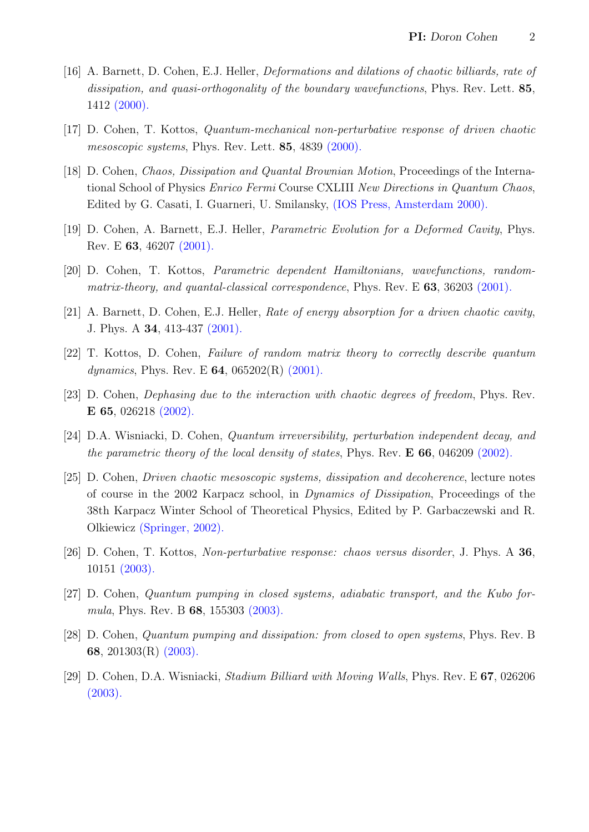- [16] A. Barnett, D. Cohen, E.J. Heller, Deformations and dilations of chaotic billiards, rate of dissipation, and quasi-orthogonality of the boundary wavefunctions, Phys. Rev. Lett. 85, 1412 [\(2000\).](http://dx.doi.org/10.1103/PhysRevLett.85.1412)
- [17] D. Cohen, T. Kottos, Quantum-mechanical non-perturbative response of driven chaotic mesoscopic systems, Phys. Rev. Lett. 85, 4839 [\(2000\).](http://dx.doi.org/10.1103/PhysRevLett.85.4839)
- [18] D. Cohen, Chaos, Dissipation and Quantal Brownian Motion, Proceedings of the International School of Physics Enrico Fermi Course CXLIII New Directions in Quantum Chaos, Edited by G. Casati, I. Guarneri, U. Smilansky, [\(IOS Press, Amsterdam 2000\).](http://physics.bgu.ac.il/~dcohen/ARCHIVE/vrn_ARC.pdf)
- [19] D. Cohen, A. Barnett, E.J. Heller, Parametric Evolution for a Deformed Cavity, Phys. Rev. E 63, 46207 [\(2001\).](http://dx.doi.org/10.1103/PhysRevE.63.046207)
- [20] D. Cohen, T. Kottos, Parametric dependent Hamiltonians, wavefunctions, randommatrix-theory, and quantal-classical correspondence, Phys. Rev. E  $63$ ,  $36203$  [\(2001\).](http://dx.doi.org/10.1103/PhysRevE.63.036203)
- [21] A. Barnett, D. Cohen, E.J. Heller, Rate of energy absorption for a driven chaotic cavity, J. Phys. A 34, 413-437 [\(2001\).](http://dx.doi.org/10.1088/0305-4470/34/3/308)
- [22] T. Kottos, D. Cohen, Failure of random matrix theory to correctly describe quantum dynamics, Phys. Rev. E  $64$ , 065202(R) [\(2001\).](http://dx.doi.org/10.1103/PhysRevE.64.065202)
- [23] D. Cohen, Dephasing due to the interaction with chaotic degrees of freedom, Phys. Rev. E 65, 026218 [\(2002\).](http://dx.doi.org/10.1103/PhysRevE.65.026218)
- [24] D.A. Wisniacki, D. Cohen, Quantum irreversibility, perturbation independent decay, and the parametric theory of the local density of states, Phys. Rev. E 66, 046209 [\(2002\).](http://dx.doi.org/10.1103/PhysRevE.66.046209)
- [25] D. Cohen, Driven chaotic mesoscopic systems, dissipation and decoherence, lecture notes of course in the 2002 Karpacz school, in Dynamics of Dissipation, Proceedings of the 38th Karpacz Winter School of Theoretical Physics, Edited by P. Garbaczewski and R. Olkiewicz [\(Springer, 2002\).](http://physics.bgu.ac.il/~dcohen/ARCHIVE/dsp_BOOK.pdf)
- [26] D. Cohen, T. Kottos, Non-perturbative response: chaos versus disorder, J. Phys. A 36, 10151 [\(2003\).](http://dx.doi.org/10.1088/0305-4470/36/40/00)
- [27] D. Cohen, Quantum pumping in closed systems, adiabatic transport, and the Kubo formula, Phys. Rev. B **68**, 155303 [\(2003\).](http://dx.doi.org/10.1103/PhysRevB.68.155303)
- [28] D. Cohen, Quantum pumping and dissipation: from closed to open systems, Phys. Rev. B 68, 201303(R) [\(2003\).](http://dx.doi.org/10.1103/PhysRevB.68.201303)
- [29] D. Cohen, D.A. Wisniacki, Stadium Billiard with Moving Walls, Phys. Rev. E 67, 026206 [\(2003\).](http://dx.doi.org/10.1103/PhysRevE.67.026206)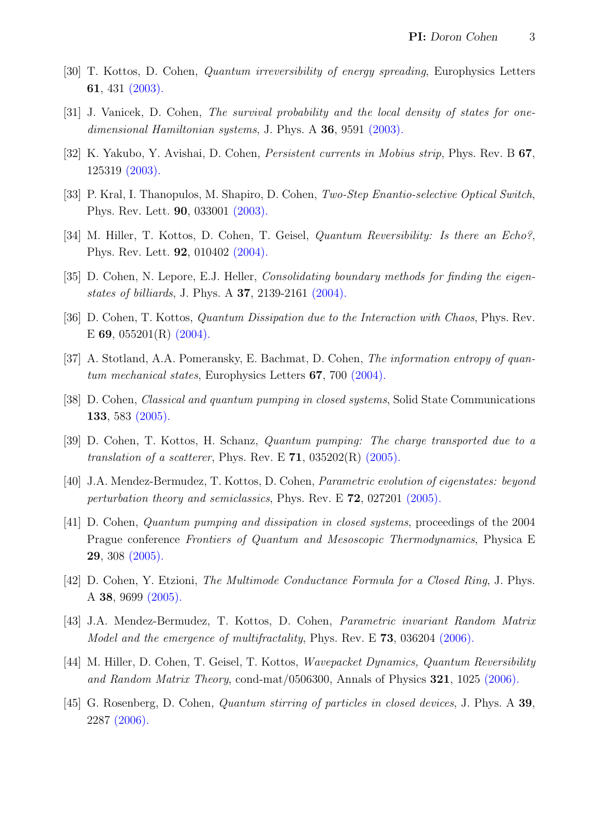- [30] T. Kottos, D. Cohen, Quantum irreversibility of energy spreading, Europhysics Letters 61, 431 [\(2003\).](http://dx.doi.org/10.1209/epl/i2003-00325-6)
- [31] J. Vanicek, D. Cohen, The survival probability and the local density of states for one-dimensional Hamiltonian systems, J. Phys. A 36, 9591 [\(2003\).](http://dx.doi.org/10.1088/0305-4470/36/36/310)
- [32] K. Yakubo, Y. Avishai, D. Cohen, Persistent currents in Mobius strip, Phys. Rev. B 67, 125319 [\(2003\).](http://dx.doi.org/10.1103/PhysRevB.67.125319)
- [33] P. Kral, I. Thanopulos, M. Shapiro, D. Cohen, Two-Step Enantio-selective Optical Switch, Phys. Rev. Lett. 90, 033001 [\(2003\).](http://dx.doi.org/10.1103/PhysRevLett.90.033001)
- [34] M. Hiller, T. Kottos, D. Cohen, T. Geisel, Quantum Reversibility: Is there an Echo?, Phys. Rev. Lett. 92, 010402 [\(2004\).](http://dx.doi.org/10.1103/PhysRevLett.92.010402)
- [35] D. Cohen, N. Lepore, E.J. Heller, *Consolidating boundary methods for finding the eigen*states of billiards, J. Phys. A 37, 2139-2161 [\(2004\).](http://dx.doi.org/10.1088/0305-4470/37/6/013)
- [36] D. Cohen, T. Kottos, *Quantum Dissipation due to the Interaction with Chaos*, Phys. Rev. E 69, 055201(R) [\(2004\).](http://dx.doi.org/10.1103/PhysRevE.69.055201)
- [37] A. Stotland, A.A. Pomeransky, E. Bachmat, D. Cohen, The information entropy of quantum mechanical states, Europhysics Letters 67, 700 [\(2004\).](http://dx.doi.org/10.1209/epl/i2004-10110-1)
- [38] D. Cohen, Classical and quantum pumping in closed systems, Solid State Communications 133, 583 [\(2005\).](http://dx.doi.org/10.1103/PhysRevB.68.155303)
- [39] D. Cohen, T. Kottos, H. Schanz, Quantum pumping: The charge transported due to a translation of a scatterer, Phys. Rev. E  $71$ ,  $035202(R)$   $(2005)$ .
- [40] J.A. Mendez-Bermudez, T. Kottos, D. Cohen, Parametric evolution of eigenstates: beyond perturbation theory and semiclassics, Phys. Rev. E  $72$ , 027201 [\(2005\).](http://dx.doi.org/10.1103/PhysRevE.72.027201)
- [41] D. Cohen, Quantum pumping and dissipation in closed systems, proceedings of the 2004 Prague conference Frontiers of Quantum and Mesoscopic Thermodynamics, Physica E 29, 308 [\(2005\).](http://dx.doi.org/10.1016/j.physe.2005.05.028)
- [42] D. Cohen, Y. Etzioni, The Multimode Conductance Formula for a Closed Ring, J. Phys. A 38, 9699 [\(2005\).](http://dx.doi.org/10.1088/0305-4470/38/44/007)
- [43] J.A. Mendez-Bermudez, T. Kottos, D. Cohen, Parametric invariant Random Matrix Model and the emergence of multifractality, Phys. Rev. E 73, 036204 [\(2006\).](http://dx.doi.org/10.1103/PhysRevE.73.036204)
- [44] M. Hiller, D. Cohen, T. Geisel, T. Kottos, Wavepacket Dynamics, Quantum Reversibility and Random Matrix Theory, cond-mat/0506300, Annals of Physics  $321$ , 1025 [\(2006\).](http://dx.doi.org/10.1016/j.aop.2005.12.003)
- [45] G. Rosenberg, D. Cohen, *Quantum stirring of particles in closed devices*, J. Phys. A 39, 2287 [\(2006\).](http://dx.doi.org/10.1088/0305-4470/39/10/00)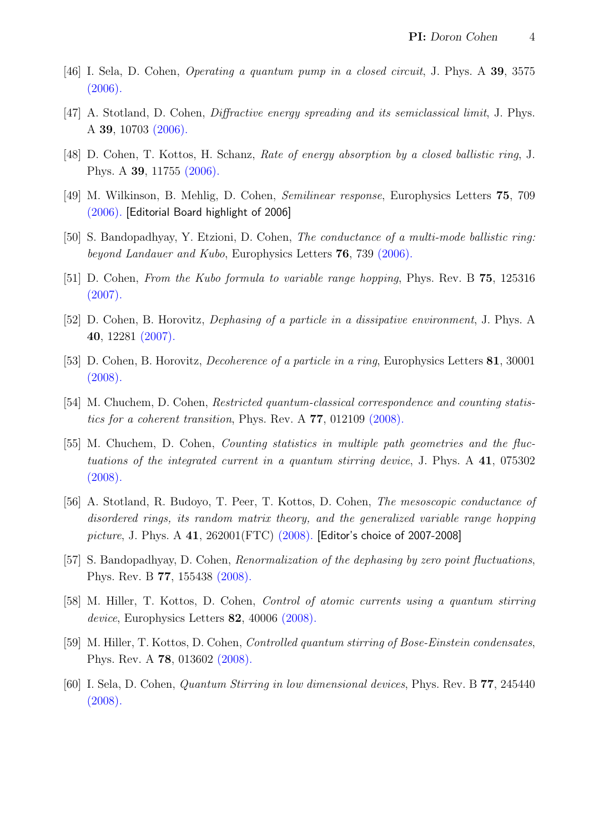- [46] I. Sela, D. Cohen, Operating a quantum pump in a closed circuit, J. Phys. A 39, 3575  $(2006).$
- [47] A. Stotland, D. Cohen, Diffractive energy spreading and its semiclassical limit, J. Phys. A 39, 10703 [\(2006\).](http://dx.doi.org/10.1088/0305-4470/39/34/008)
- [48] D. Cohen, T. Kottos, H. Schanz, Rate of energy absorption by a closed ballistic ring, J. Phys. A 39, 11755 [\(2006\).](http://dx.doi.org/10.1088/0305-4470/39/38/004)
- [49] M. Wilkinson, B. Mehlig, D. Cohen, Semilinear response, Europhysics Letters 75, 709 [\(2006\).](http://dx.doi.org/10.1209/epl/i2006-10182-9) [Editorial Board highlight of 2006]
- [50] S. Bandopadhyay, Y. Etzioni, D. Cohen, The conductance of a multi-mode ballistic ring: beyond Landauer and Kubo, Europhysics Letters **76**, 739 [\(2006\).](http://dx.doi.org/10.1209/epl/i2006-10360-9)
- [51] D. Cohen, From the Kubo formula to variable range hopping, Phys. Rev. B 75, 125316 [\(2007\).](http://dx.doi.org/10.1103/PhysRevB.75.125316)
- [52] D. Cohen, B. Horovitz, Dephasing of a particle in a dissipative environment, J. Phys. A 40, 12281 [\(2007\).](http://dx.doi.org/10.1088/1751-8113/40/41/002)
- [53] D. Cohen, B. Horovitz, Decoherence of a particle in a ring, Europhysics Letters 81, 30001 [\(2008\).](http://dx.doi.org/10.1209/0295-5075/81/30001)
- [54] M. Chuchem, D. Cohen, Restricted quantum-classical correspondence and counting statistics for a coherent transition, Phys. Rev. A 77, 012109 [\(2008\).](http://dx.doi.org/10.1103/PhysRevA.77.012109)
- [55] M. Chuchem, D. Cohen, Counting statistics in multiple path geometries and the fluctuations of the integrated current in a quantum stirring device, J. Phys. A 41, 075302 [\(2008\).](http://dx.doi.org/10.1088/1751-8113/41/7/075302)
- [56] A. Stotland, R. Budoyo, T. Peer, T. Kottos, D. Cohen, The mesoscopic conductance of disordered rings, its random matrix theory, and the generalized variable range hopping picture, J. Phys. A 41, 262001(FTC) [\(2008\).](http://dx.doi.org/10.1088/1751-8113/41/26/262001) [Editor's choice of 2007-2008]
- [57] S. Bandopadhyay, D. Cohen, Renormalization of the dephasing by zero point fluctuations, Phys. Rev. B 77, 155438 [\(2008\).](http://dx.doi.org/10.1103/PhysRevB.77.155438)
- [58] M. Hiller, T. Kottos, D. Cohen, Control of atomic currents using a quantum stirring device, Europhysics Letters **82**, 40006 [\(2008\).](http://dx.doi.org/10.1209/0295-5075/82/40006)
- [59] M. Hiller, T. Kottos, D. Cohen, Controlled quantum stirring of Bose-Einstein condensates, Phys. Rev. A 78, 013602 [\(2008\).](http://dx.doi.org/10.1103/PhysRevA.78.013602)
- [60] I. Sela, D. Cohen, Quantum Stirring in low dimensional devices, Phys. Rev. B 77, 245440  $(2008).$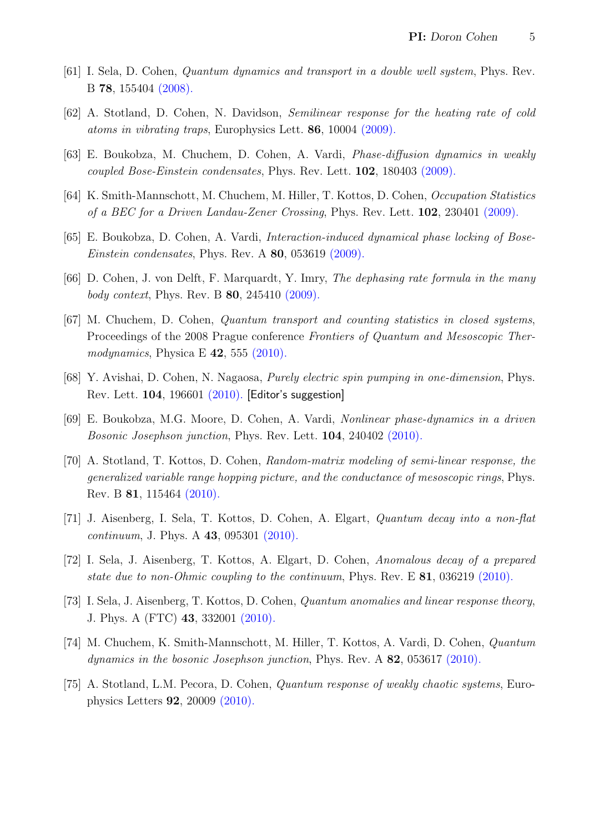- [61] I. Sela, D. Cohen, Quantum dynamics and transport in a double well system, Phys. Rev. B 78, 155404 [\(2008\).](http://dx.doi.org/10.1103/PhysRevB.78.155404)
- [62] A. Stotland, D. Cohen, N. Davidson, Semilinear response for the heating rate of cold atoms in vibrating traps, Europhysics Lett. 86, 10004 [\(2009\).](http://dx.doi.org/10.1209/0295-5075/86/10004)
- [63] E. Boukobza, M. Chuchem, D. Cohen, A. Vardi, Phase-diffusion dynamics in weakly coupled Bose-Einstein condensates, Phys. Rev. Lett. 102, 180403 [\(2009\).](http://dx.doi.org/10.1103/PhysRevLett.102.180403)
- [64] K. Smith-Mannschott, M. Chuchem, M. Hiller, T. Kottos, D. Cohen, Occupation Statistics of a BEC for a Driven Landau-Zener Crossing, Phys. Rev. Lett. 102, 230401 [\(2009\).](http://dx.doi.org/10.1103/PhysRevLett.102.230401)
- [65] E. Boukobza, D. Cohen, A. Vardi, Interaction-induced dynamical phase locking of Bose-Einstein condensates, Phys. Rev. A 80, 053619 [\(2009\).](http://dx.doi.org/10.1103/PhysRevA.80.053619)
- [66] D. Cohen, J. von Delft, F. Marquardt, Y. Imry, The dephasing rate formula in the many body context, Phys. Rev. B 80, 245410 [\(2009\).](http://dx.doi.org/10.1103/PhysRevB.80.245410)
- [67] M. Chuchem, D. Cohen, Quantum transport and counting statistics in closed systems, Proceedings of the 2008 Prague conference Frontiers of Quantum and Mesoscopic Thermodynamics, Physica E  $42$ , 555 [\(2010\).](http://dx.doi.org/10.1016/j.physe.2009.06.024)
- [68] Y. Avishai, D. Cohen, N. Nagaosa, Purely electric spin pumping in one-dimension, Phys. Rev. Lett. 104, 196601 [\(2010\).](http://dx.doi.org/10.1103/PhysRevLett.104.196601) [Editor's suggestion]
- [69] E. Boukobza, M.G. Moore, D. Cohen, A. Vardi, Nonlinear phase-dynamics in a driven Bosonic Josephson junction, Phys. Rev. Lett. 104, 240402 [\(2010\).](http://dx.doi.org/10.1103/PhysRevLett.104.240402)
- [70] A. Stotland, T. Kottos, D. Cohen, Random-matrix modeling of semi-linear response, the generalized variable range hopping picture, and the conductance of mesoscopic rings, Phys. Rev. B 81, 115464 [\(2010\).](http://dx.doi.org/10.1103/PhysRevB.81.115464)
- [71] J. Aisenberg, I. Sela, T. Kottos, D. Cohen, A. Elgart, Quantum decay into a non-flat continuum, J. Phys. A 43, 095301 [\(2010\).](http://dx.doi.org/10.1088/1751-8113/43/9/095301)
- [72] I. Sela, J. Aisenberg, T. Kottos, A. Elgart, D. Cohen, Anomalous decay of a prepared state due to non-Ohmic coupling to the continuum, Phys. Rev. E 81, 036219 [\(2010\).](http://dx.doi.org/10.1103/PhysRevE.81.036219)
- [73] I. Sela, J. Aisenberg, T. Kottos, D. Cohen, Quantum anomalies and linear response theory, J. Phys. A (FTC) 43, 332001 [\(2010\).](http://dx.doi.org/10.1088/1751-8113/43/33/332001)
- [74] M. Chuchem, K. Smith-Mannschott, M. Hiller, T. Kottos, A. Vardi, D. Cohen, Quantum dynamics in the bosonic Josephson junction, Phys. Rev. A 82, 053617 [\(2010\).](http://dx.doi.org/10.1103/PhysRevA.82.053617)
- [75] A. Stotland, L.M. Pecora, D. Cohen, Quantum response of weakly chaotic systems, Europhysics Letters 92, 20009 [\(2010\).](http://dx.doi.org/10.1209/0295-5075/92/20009)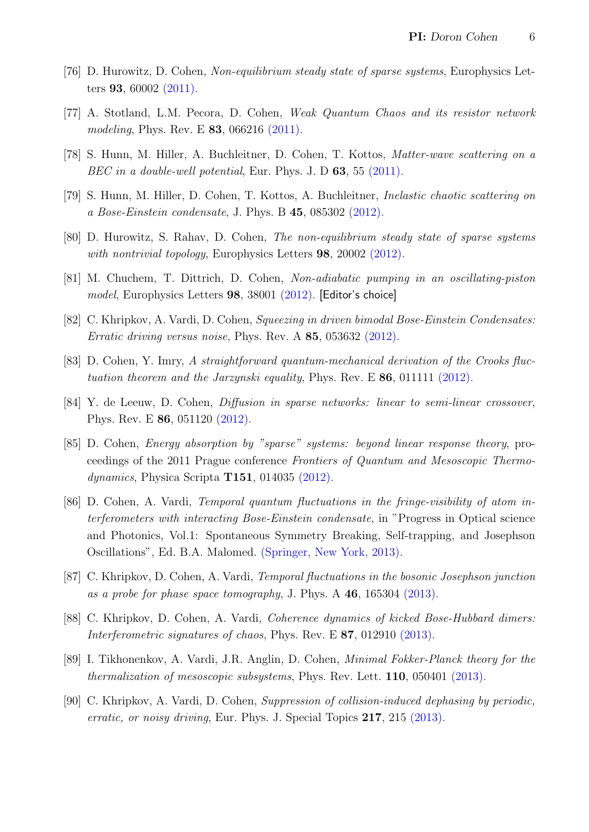- [76] D. Hurowitz, D. Cohen, Non-equilibrium steady state of sparse systems, Europhysics Letters 93, 60002 [\(2011\).](http://dx.doi.org/10.1209/0295-5075/93/60002)
- [77] A. Stotland, L.M. Pecora, D. Cohen, Weak Quantum Chaos and its resistor network modeling, Phys. Rev. E **83**, 066216 [\(2011\).](http://dx.doi.org/10.1103/PhysRevE.83.066216)
- [78] S. Hunn, M. Hiller, A. Buchleitner, D. Cohen, T. Kottos, Matter-wave scattering on a BEC in a double-well potential, Eur. Phys. J. D 63, 55 [\(2011\).](http://dx.doi.org/10.1140/epjd/e2011-10639-9)
- [79] S. Hunn, M. Hiller, D. Cohen, T. Kottos, A. Buchleitner, Inelastic chaotic scattering on a Bose-Einstein condensate, J. Phys. B 45, 085302 [\(2012\).](http://dx.doi.org/10.1088/0953-4075/45/8/085302)
- [80] D. Hurowitz, S. Rahav, D. Cohen, The non-equilibrium steady state of sparse systems with nontrivial topology, Europhysics Letters 98, 20002 [\(2012\).](http://dx.doi.org/10.1209/0295-5075/98/20002)
- [81] M. Chuchem, T. Dittrich, D. Cohen, Non-adiabatic pumping in an oscillating-piston model, Europhysics Letters 98, 38001 [\(2012\).](http://dx.doi.org/10.1209/0295-5075/98/38001) [Editor's choice]
- [82] C. Khripkov, A. Vardi, D. Cohen, Squeezing in driven bimodal Bose-Einstein Condensates: Erratic driving versus noise, Phys. Rev. A 85, 053632 [\(2012\).](http://dx.doi.org/10.1103/PhysRevA.85.053632)
- [83] D. Cohen, Y. Imry, A straightforward quantum-mechanical derivation of the Crooks fluctuation theorem and the Jarzynski equality, Phys. Rev. E  $86$ , 011111 [\(2012\).](http://dx.doi.org/10.1103/PhysRevE.86.011111)
- [84] Y. de Leeuw, D. Cohen, Diffusion in sparse networks: linear to semi-linear crossover, Phys. Rev. E 86, 051120 [\(2012\).](http://dx.doi.org/10.1103/PhysRevE.86.051120)
- [85] D. Cohen, Energy absorption by "sparse" systems: beyond linear response theory, proceedings of the 2011 Prague conference Frontiers of Quantum and Mesoscopic Thermodynamics, Physica Scripta T151, 014035 [\(2012\).](http://dx.doi.org/10.1088/0031-8949/2012/T151/014035)
- [86] D. Cohen, A. Vardi, Temporal quantum fluctuations in the fringe-visibility of atom interferometers with interacting Bose-Einstein condensate, in "Progress in Optical science and Photonics, Vol.1: Spontaneous Symmetry Breaking, Self-trapping, and Josephson Oscillations", Ed. B.A. Malomed. [\(Springer, New York, 2013\).](http://link.springer.com/book/10.1007/978-3-642-21207-9)
- [87] C. Khripkov, D. Cohen, A. Vardi, Temporal fluctuations in the bosonic Josephson junction as a probe for phase space tomography, J. Phys. A 46, 165304 [\(2013\).](http://dx.doi.org/10.1088/1751-8113/46/16/165304)
- [88] C. Khripkov, D. Cohen, A. Vardi, *Coherence dynamics of kicked Bose-Hubbard dimers:* Interferometric signatures of chaos, Phys. Rev. E 87, 012910 [\(2013\).](http://dx.doi.org/10.1103/PhysRevE.87.012910)
- [89] I. Tikhonenkov, A. Vardi, J.R. Anglin, D. Cohen, Minimal Fokker-Planck theory for the thermalization of mesoscopic subsystems, Phys. Rev. Lett. 110, 050401 [\(2013\).](http://dx.doi.org/10.1103/PhysRevLett.110.050401)
- [90] C. Khripkov, A. Vardi, D. Cohen, Suppression of collision-induced dephasing by periodic, erratic, or noisy driving, Eur. Phys. J. Special Topics 217, 215 [\(2013\).](http://dx.doi.org/10.1140/epjst/e2013-01771-9)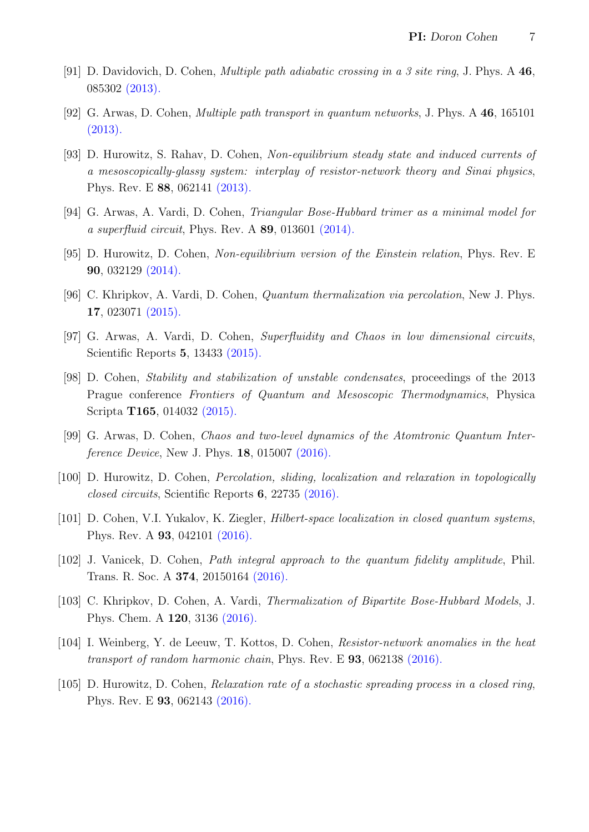- [91] D. Davidovich, D. Cohen, Multiple path adiabatic crossing in a 3 site ring, J. Phys. A 46, 085302 [\(2013\).](http://dx.doi.org/10.1088/1751-8113/46/8/085302)
- [92] G. Arwas, D. Cohen, Multiple path transport in quantum networks, J. Phys. A 46, 165101 [\(2013\).](http://dx.doi.org/10.1088/1751-8113/46/16/165101)
- [93] D. Hurowitz, S. Rahav, D. Cohen, Non-equilibrium steady state and induced currents of a mesoscopically-glassy system: interplay of resistor-network theory and Sinai physics, Phys. Rev. E 88, 062141 [\(2013\).](http://dx.doi.org/10.1103/PhysRevE.88.062141)
- [94] G. Arwas, A. Vardi, D. Cohen, Triangular Bose-Hubbard trimer as a minimal model for a superfluid circuit, Phys. Rev. A  $89$ , 013601 [\(2014\).](http://dx.doi.org/10.1103/PhysRevA.89.013601)
- [95] D. Hurowitz, D. Cohen, Non-equilibrium version of the Einstein relation, Phys. Rev. E 90, 032129 [\(2014\).](http://dx.doi.org/10.1103/PhysRevE.90.032129)
- [96] C. Khripkov, A. Vardi, D. Cohen, Quantum thermalization via percolation, New J. Phys. 17, 023071 [\(2015\).](http://dx.doi.org/10.1088/1367-2630/17/2/023071)
- [97] G. Arwas, A. Vardi, D. Cohen, Superfluidity and Chaos in low dimensional circuits, Scientific Reports 5, 13433 [\(2015\).](http://dx.doi.org/10.1038/srep13433)
- [98] D. Cohen, Stability and stabilization of unstable condensates, proceedings of the 2013 Prague conference Frontiers of Quantum and Mesoscopic Thermodynamics, Physica Scripta T165, 014032 [\(2015\).](http://dx.doi.org/10.1088/0031-8949/2015/T165/014032)
- [99] G. Arwas, D. Cohen, Chaos and two-level dynamics of the Atomtronic Quantum Interference Device, New J. Phys. 18, 015007 [\(2016\).](http://dx.doi.org/10.1088/1367-2630/18/1/015007)
- [100] D. Hurowitz, D. Cohen, Percolation, sliding, localization and relaxation in topologically closed circuits, Scientific Reports 6, 22735 [\(2016\).](http://dx.doi.org/10.1038/srep22735)
- [101] D. Cohen, V.I. Yukalov, K. Ziegler, Hilbert-space localization in closed quantum systems, Phys. Rev. A 93, 042101 [\(2016\).](http://dx.doi.org/10.1103/PhysRevA.93.042101)
- [102] J. Vanicek, D. Cohen, Path integral approach to the quantum fidelity amplitude, Phil. Trans. R. Soc. A 374, 20150164 [\(2016\).](http://dx.doi.org/10.1098/rsta.2015.0164)
- [103] C. Khripkov, D. Cohen, A. Vardi, Thermalization of Bipartite Bose-Hubbard Models, J. Phys. Chem. A 120, 3136 [\(2016\).](http://dx.doi.org/10.1021/acs.jpca.5b11176)
- [104] I. Weinberg, Y. de Leeuw, T. Kottos, D. Cohen, Resistor-network anomalies in the heat transport of random harmonic chain, Phys. Rev. E 93, 062138 [\(2016\).](http://dx.doi.org/10.1103/PhysRevE.93.062138)
- [105] D. Hurowitz, D. Cohen, Relaxation rate of a stochastic spreading process in a closed ring, Phys. Rev. E 93, 062143 [\(2016\).](http://dx.doi.org/10.1103/PhysRevE.93.062143)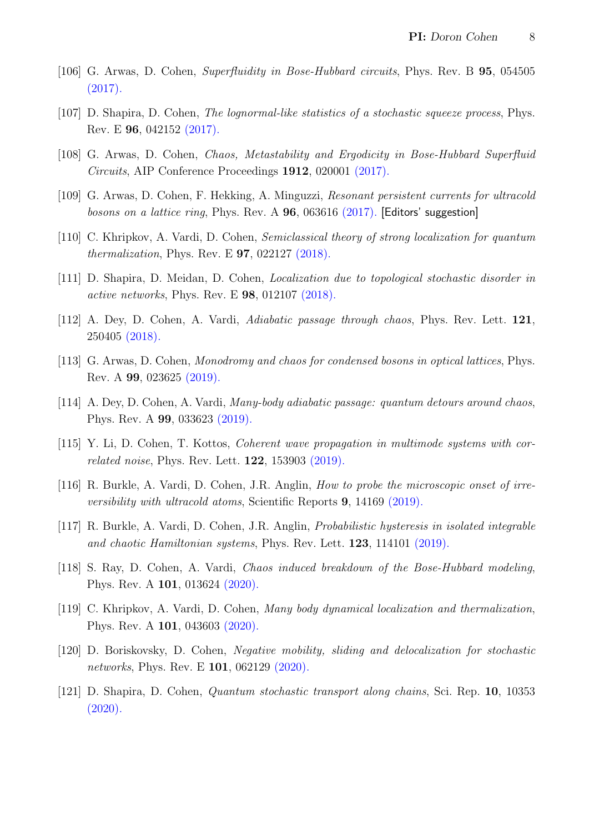- [106] G. Arwas, D. Cohen, *Superfluidity in Bose-Hubbard circuits*, Phys. Rev. B **95**, 054505 [\(2017\).](http://link.aps.org/doi/10.1103/PhysRevB.95.054505)
- [107] D. Shapira, D. Cohen, The lognormal-like statistics of a stochastic squeeze process, Phys. Rev. E 96, 042152 [\(2017\).](https://link.aps.org/doi/10.1103/PhysRevE.96.042152)
- [108] G. Arwas, D. Cohen, Chaos, Metastability and Ergodicity in Bose-Hubbard Superfluid Circuits, AIP Conference Proceedings 1912, 020001 [\(2017\).](https://doi.org/10.1063/1.5016126)
- [109] G. Arwas, D. Cohen, F. Hekking, A. Minguzzi, Resonant persistent currents for ultracold bosons on a lattice ring, Phys. Rev. A  $96$ , 063616 [\(2017\).](https://link.aps.org/doi/10.1103/PhysRevA.96.063616) [Editors' suggestion]
- [110] C. Khripkov, A. Vardi, D. Cohen, Semiclassical theory of strong localization for quantum thermalization, Phys. Rev. E 97, 022127 [\(2018\).](https://link.aps.org/doi/10.1103/PhysRevE.97.022127)
- [111] D. Shapira, D. Meidan, D. Cohen, *Localization due to topological stochastic disorder in* active networks, Phys. Rev. E 98, 012107 [\(2018\).](https://link.aps.org/doi/10.1103/PhysRevE.98.012107)
- [112] A. Dey, D. Cohen, A. Vardi, Adiabatic passage through chaos, Phys. Rev. Lett. 121, 250405 [\(2018\).](https://journals.aps.org/prl/abstract/10.1103/PhysRevLett.121.250405)
- [113] G. Arwas, D. Cohen, *Monodromy and chaos for condensed bosons in optical lattices*, Phys. Rev. A 99, 023625 [\(2019\).](https://journals.aps.org/pra/abstract/10.1103/PhysRevA.99.023625)
- [114] A. Dey, D. Cohen, A. Vardi, Many-body adiabatic passage: quantum detours around chaos, Phys. Rev. A 99, 033623 [\(2019\).](https://journals.aps.org/pra/abstract/10.1103/PhysRevA.99.033623)
- [115] Y. Li, D. Cohen, T. Kottos, Coherent wave propagation in multimode systems with correlated noise, Phys. Rev. Lett. 122, 153903 [\(2019\).](https://journals.aps.org/prl/abstract/10.1103/PhysRevLett.122.153903)
- [116] R. Burkle, A. Vardi, D. Cohen, J.R. Anglin, How to probe the microscopic onset of irreversibility with ultracold atoms, Scientific Reports 9, 14169 [\(2019\).](https://www.nature.com/articles/s41598-019-50608-z)
- [117] R. Burkle, A. Vardi, D. Cohen, J.R. Anglin, Probabilistic hysteresis in isolated integrable and chaotic Hamiltonian systems, Phys. Rev. Lett.  $123$ ,  $114101$  [\(2019\).](https://journals.aps.org/prl/abstract/10.1103/PhysRevLett.123.114101)
- [118] S. Ray, D. Cohen, A. Vardi, Chaos induced breakdown of the Bose-Hubbard modeling, Phys. Rev. A 101, 013624 [\(2020\).](https://journals.aps.org/pra/abstract/10.1103/PhysRevA.101.013624)
- [119] C. Khripkov, A. Vardi, D. Cohen, Many body dynamical localization and thermalization, Phys. Rev. A 101, 043603 [\(2020\).](https://link.aps.org/doi/10.1103/PhysRevA.101.043603)
- [120] D. Boriskovsky, D. Cohen, Negative mobility, sliding and delocalization for stochastic networks, Phys. Rev. E **101**, 062129 [\(2020\).](https://journals.aps.org/pre/abstract/10.1103/PhysRevE.101.062129)
- [121] D. Shapira, D. Cohen, Quantum stochastic transport along chains, Sci. Rep. 10, 10353 [\(2020\).](https://doi.org/10.1038/s41598-020-66143-1)